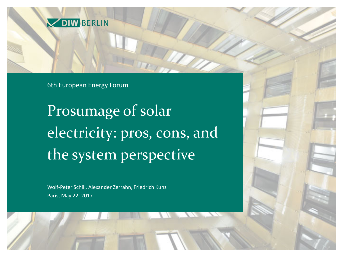

6th European Energy Forum

Prosumage of solar electricity: pros, cons, and the system perspective

Wolf-Peter Schill, Alexander Zerrahn, Friedrich Kunz Paris, May 22, 2017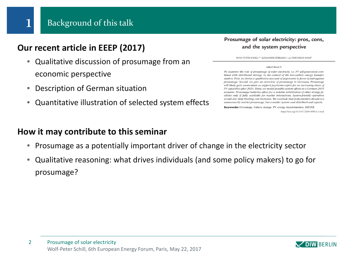## **Our recent article in EEEP (2017)**

- Qualitative discussion of prosumage from an economic perspective
- Description of German situation
- Quantitative illustration of selected system effects

## **How it may contribute to this seminar**

- Prosumage as a potentially important driver of change in the electricity sector
- Qualitative reasoning: what drives individuals (and some policy makers) to go for prosumage?

### Prosumage of solar electricity: pros, cons, and the system perspective

WOLF-PETER SCHILL.<sup>2,2</sup> ALEXANDER ZERRAHN,<sup>2</sup> and FRIEDRICH KUNZ<sup>2</sup>

### **ABSTRACT**

We examine the role of prosumage of solar electricity, i.e. PV self-generation combined with distributed storage, in the context of the low-carbon energy transformation. First, we devise a qualitative account of arguments in favor of and against prosumage. Second, we give an overview of prosumage in Germany. Prosumage will likely gain momentum as support payments expire for an increasing sbare of PV capacities after 2020. Third, we model possible system effects in a German 2035 scenario. Prosumage batteries allow for a notable substitution of other storage facilities only if fully available for market interactions. System-friendly operation would also belp limiting cost increases. We conclude that policymakers should not unnecessarily restrict prosumage, but consider system and distributional aspects.

Keywords: Prosumage, battery storage, PV, energy transformation, DIETER https://doi.org/10.5547/2160-5890.6.1.wsch

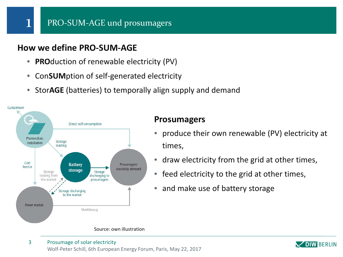## **How we define PRO-SUM-AGE**

- **PRO**duction of renewable electricity (PV)
- Con**SUM**ption of self-generated electricity
- Stor**AGE** (batteries) to temporally align supply and demand



## **Prosumagers**

- produce their own renewable (PV) electricity at times,
- draw electricity from the grid at other times,
- feed electricity to the grid at other times,
- and make use of battery storage



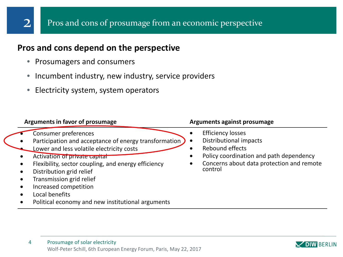## Pros and cons of prosumage from an economic perspective

## **Pros and cons depend on the perspective**

• Prosumagers and consumers

2

- Incumbent industry, new industry, service providers
- Electricity system, system operators

| Arguments in favor of prosumage                                                                                                                                                                                                                                                                                                                                            | <b>Arguments against prosumage</b>                                                                                                                                                    |  |
|----------------------------------------------------------------------------------------------------------------------------------------------------------------------------------------------------------------------------------------------------------------------------------------------------------------------------------------------------------------------------|---------------------------------------------------------------------------------------------------------------------------------------------------------------------------------------|--|
| Consumer preferences<br>Participation and acceptance of energy transformation<br>Lower and less volatile electricity costs<br>Activation of private capital<br>Flexibility, sector coupling, and energy efficiency<br>Distribution grid relief<br>Transmission grid relief<br>Increased competition<br>Local benefits<br>Political economy and new institutional arguments | <b>Efficiency losses</b><br>Distributional impacts<br>$\bullet$<br>Rebound effects<br>Policy coordination and path dependency<br>Concerns about data protection and remote<br>control |  |

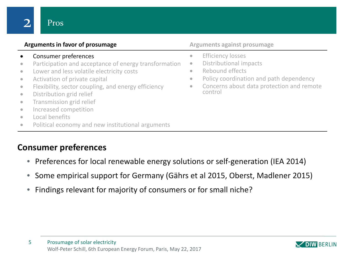Pros

|                                                                                                                                | Arguments in favor of prosumage                                                                                                                                                                                                                                                                                                                                            |                                                               | <b>Arguments against prosumage</b>                                                                                                                                       |
|--------------------------------------------------------------------------------------------------------------------------------|----------------------------------------------------------------------------------------------------------------------------------------------------------------------------------------------------------------------------------------------------------------------------------------------------------------------------------------------------------------------------|---------------------------------------------------------------|--------------------------------------------------------------------------------------------------------------------------------------------------------------------------|
| $\bullet$<br>$\bullet$<br>$\bullet$<br>$\bullet$<br>$\bullet$<br>$\bullet$<br>$\bullet$<br>$\bullet$<br>$\bullet$<br>$\bullet$ | Consumer preferences<br>Participation and acceptance of energy transformation<br>Lower and less volatile electricity costs<br>Activation of private capital<br>Flexibility, sector coupling, and energy efficiency<br>Distribution grid relief<br>Transmission grid relief<br>Increased competition<br>Local benefits<br>Political economy and new institutional arguments | $\bullet$<br>$\bullet$<br>$\bullet$<br>$\bullet$<br>$\bullet$ | <b>Efficiency losses</b><br>Distributional impacts<br>Rebound effects<br>Policy coordination and path dependency<br>Concerns about data protection and remote<br>control |
|                                                                                                                                |                                                                                                                                                                                                                                                                                                                                                                            |                                                               |                                                                                                                                                                          |

## **Consumer preferences**

- Preferences for local renewable energy solutions or self-generation (IEA 2014)
- Some empirical support for Germany (Gährs et al 2015, Oberst, Madlener 2015)
- Findings relevant for majority of consumers or for small niche?

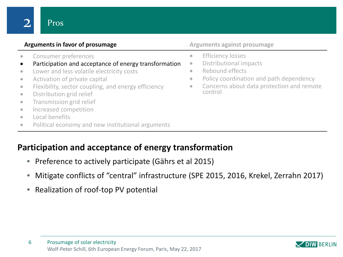• Consumer preferences

Pros

- Participation and acceptance of energy transformation
- Lower and less volatile electricity costs
- Activation of private capital
- Flexibility, sector coupling, and energy efficiency
- Distribution grid relief
- Transmission grid relief
- Increased competition
- Local benefits
- Political economy and new institutional arguments

## **Participation and acceptance of energy transformation**

- Preference to actively participate (Gährs et al 2015)
- Mitigate conflicts of "central" infrastructure (SPE 2015, 2016, Krekel, Zerrahn 2017)
- Realization of roof-top PV potential

- **•** Efficiency losses
- Distributional impacts
- Rebound effects
- Policy coordination and path dependency
- Concerns about data protection and remote control

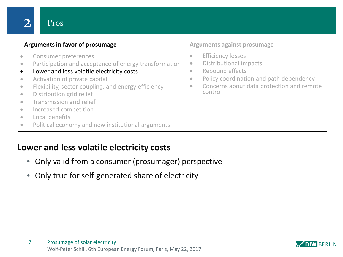## **Arguments in favor of prosumage Arguments against prosumage Arguments against prosumage**

• Consumer preferences

Pros

- Participation and acceptance of energy transformation
- Lower and less volatile electricity costs
- Activation of private capital
- Flexibility, sector coupling, and energy efficiency
- Distribution grid relief
- Transmission grid relief
- Increased competition
- Local benefits
- Political economy and new institutional arguments

# **Lower and less volatile electricity costs**

- Only valid from a consumer (prosumager) perspective
- Only true for self-generated share of electricity

- **•** Efficiency losses
- Distributional impacts
- Rebound effects
- Policy coordination and path dependency
- Concerns about data protection and remote control

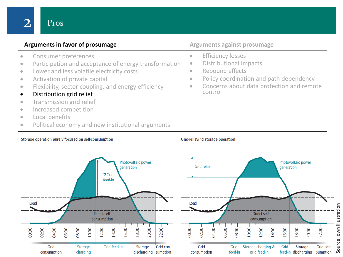## **Arguments in favor of prosumage Arguments against prosumage Arguments against prosumage**

- Consumer preferences
- Participation and acceptance of energy transformation
- Lower and less volatile electricity costs
- Activation of private capital
- Flexibility, sector coupling, and energy efficiency
- Distribution grid relief
- Transmission grid relief
- Increased competition
- Local benefits
- Political economy and new institutional arguments

- **•** Efficiency losses
- Distributional impacts
- Rebound effects
- Policy coordination and path dependency
- Concerns about data protection and remote control

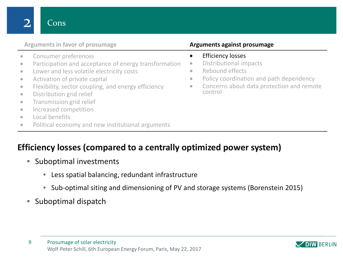## **Arguments in favor of prosumage Arguments against prosumage**

- Consumer preferences
- Participation and acceptance of energy transformation
- Lower and less volatile electricity costs
- Activation of private capital
- Flexibility, sector coupling, and energy efficiency
- Distribution grid relief
- Transmission grid relief
- Increased competition
- Local benefits
- Political economy and new institutional arguments

- Efficiency losses
- Distributional impacts
- Rebound effects
- Policy coordination and path dependency
- Concerns about data protection and remote control

## **Efficiency losses (compared to a centrally optimized power system)**

- Suboptimal investments
	- Less spatial balancing, redundant infrastructure
	- Sub-optimal siting and dimensioning of PV and storage systems (Borenstein 2015)
- Suboptimal dispatch

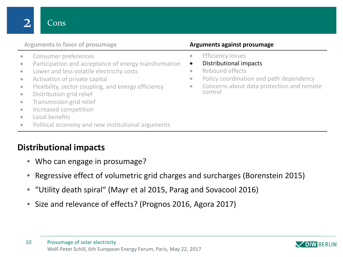## **Arguments in favor of prosumage Arguments against prosumage**

- Consumer preferences
- Participation and acceptance of energy transformation
- Lower and less volatile electricity costs
- Activation of private capital
- Flexibility, sector coupling, and energy efficiency
- Distribution grid relief
- Transmission grid relief
- Increased competition
- Local benefits
- Political economy and new institutional arguments

# **Distributional impacts**

- Who can engage in prosumage?
- Regressive effect of volumetric grid charges and surcharges (Borenstein 2015)
- "Utility death spiral" (Mayr et al 2015, Parag and Sovacool 2016)
- Size and relevance of effects? (Prognos 2016, Agora 2017)

- Efficiency losses
- Distributional impacts
- Rebound effects
- Policy coordination and path dependency
- Concerns about data protection and remote control

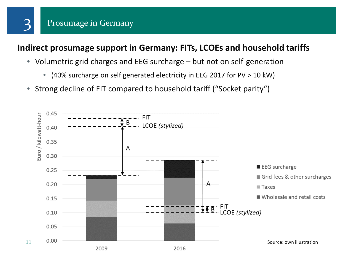

## **Indirect prosumage support in Germany: FITs, LCOEs and household tariffs**

- Volumetric grid charges and EEG surcharge but not on self-generation
	- (40% surcharge on self generated electricity in EEG 2017 for PV > 10 kW)
- Strong decline of FIT compared to household tariff ("Socket parity")

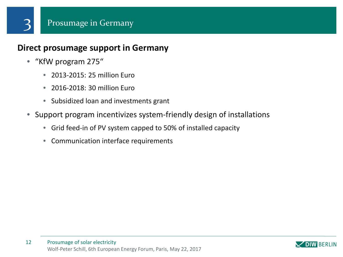## **Direct prosumage support in Germany**

• "KfW program 275"

3

- 2013-2015: 25 million Euro
- 2016-2018: 30 million Euro
- Subsidized loan and investments grant
- Support program incentivizes system-friendly design of installations
	- Grid feed-in of PV system capped to 50% of installed capacity
	- Communication interface requirements

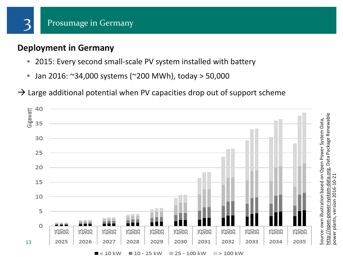

# **Deployment in Germany**

3

Gigawatt

40

35

30

25

20

15

10

5

0

13

- 2015: Every second small-scale PV system installed with battery
- Jan 2016: ~34,000 systems (~200 MWh), today > 50,000
- $\rightarrow$  Large additional potential when PV capacities drop out of support scheme

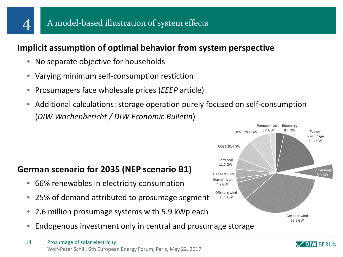

## **Implicit assumption of optimal behavior from system perspective**

- No separate objective for households
- Varying minimum self-consumption restiction
- Prosumagers face wholesale prices (*EEEP* article)
- Additional calculations: storage operation purely focused on self-consumption (*DIW Wochenbericht / DIW Economic Bulletin*)

# **German scenario for 2035 (NEP scenario B1)**

- 66% renewables in electricity consumption
- 25% of demand attributed to prosumage segment
- 2.6 million prosumage systems with 5.9 kWp each
- Endogenous investment only in central and prosumage storage



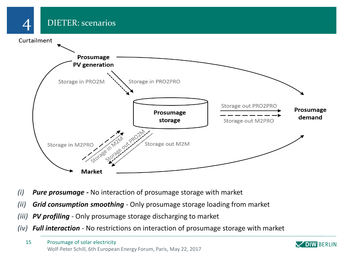DIETER: scenarios

Curtailment

4



- *(i) Pure prosumage* **-** No interaction of prosumage storage with market
- *(ii) Grid consumption smoothing -* Only prosumage storage loading from market
- *(iii) PV profiling -* Only prosumage storage discharging to market
- *(iv) Full interaction -* No restrictions on interaction of prosumage storage with market

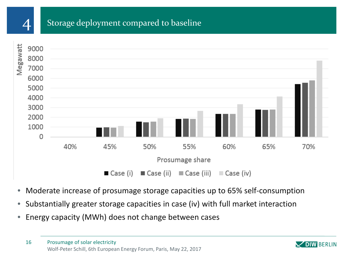

# Storage deployment compared to baseline



- Moderate increase of prosumage storage capacities up to 65% self-consumption
- Substantially greater storage capacities in case (iv) with full market interaction
- Energy capacity (MWh) does not change between cases

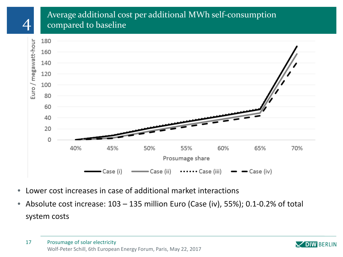## Average additional cost per additional MWh self-consumption compared to baseline



- Lower cost increases in case of additional market interactions
- Absolute cost increase: 103 135 million Euro (Case (iv), 55%); 0.1-0.2% of total system costs

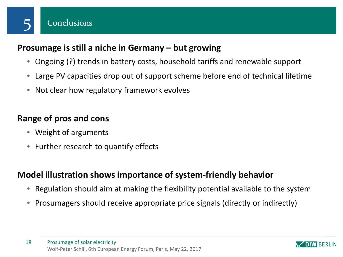

# **Prosumage is still a niche in Germany – but growing**

- Ongoing (?) trends in battery costs, household tariffs and renewable support
- Large PV capacities drop out of support scheme before end of technical lifetime
- Not clear how regulatory framework evolves

# **Range of pros and cons**

- Weight of arguments
- Further research to quantify effects

# **Model illustration shows importance of system-friendly behavior**

- Regulation should aim at making the flexibility potential available to the system
- Prosumagers should receive appropriate price signals (directly or indirectly)

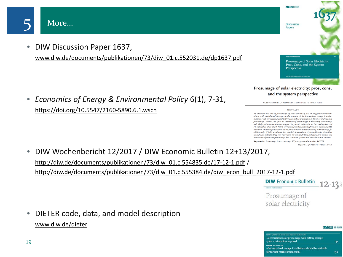

• DIW Discussion Paper 1637,

[www.diw.de/documents/publikationen/73/diw\\_01.c.552031.de/dp1637.pdf](http://www.diw.de/documents/publikationen/73/diw_01.c.552031.de/dp1637.pdf)

• *Economics of Energy & Environmental Policy* 6(1), 7-31, <https://doi.org/10.5547/2160-5890.6.1.wsch>



OIW BERLIN

**Discussion Papers** 

### **ABSTRACT**

We examine the role of prosumage of solar electricity, i.e. PV self-generation combined with distributed storage, in the context of the low-carbon energy transfor mation. First, we devise a qualitative account of arguments in favor of and against prosumage. Second, we give an overview of prosumage in Germany. Prosumage will likely gain momentum as support payments expire for an increasing sbare of PV capacities after 2020. Third, we model possible system effects in a German 2035 scenario. Prosumage batteries allow for a notable substitution of other storage facilities only if fully available for market interactions. System-friendly operation would also belt limiting cost increases. We conclude that policymakers should not unnecessarily restrict prosumage, but consider system and distributional aspects.

Keywords: Prosumage, battery storage, PV, energy transformation, DIETER

- https://doi.org/10.5547/2160-5890.6.1.wsch
- DIW Wochenbericht 12/2017 / DIW Economic Bulletin 12+13/2017, [http://diw.de/documents/publikationen/73/diw\\_01.c.554835.de/17-12-1.pdf](http://diw.de/documents/publikationen/73/diw_01.c.554835.de/17-12-1.pdf) / [http://diw.de/documents/publikationen/73/diw\\_01.c.555384.de/diw\\_econ\\_bull\\_2017-12-1.pdf](http://diw.de/documents/publikationen/73/diw_01.c.555384.de/diw_econ_bull_2017-12-1.pdf)
	- **DIW** Economic Bulletin 12 13

Prosumage of solar electricity

### OIW BERLIN

| MEPORY by Wolf-Hor Schli, Alexander Zemen, Fredrich Kunz, and Claudia Kenthrt<br>Decentralized solar prosumage with battery storage: |     |
|--------------------------------------------------------------------------------------------------------------------------------------|-----|
| system orientation required                                                                                                          | 141 |
| <b>INTERVIEW WIS WORKING SCIEN</b>                                                                                                   |     |
| »Decentralized storage installations should be available                                                                             |     |
| for further market interaction«                                                                                                      | 152 |

• DIETER code, data, and model description [www.diw.de/dieter](http://www.diw.de/dieter)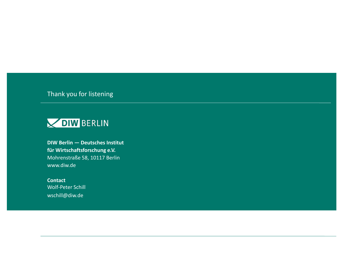Thank you for listening



**DIW Berlin — Deutsches Institut für Wirtschaftsforschung e.V.** Mohrenstraße 58, 10117 Berlin www.diw.de

**Contact** Wolf-Peter Schill wschill@diw.de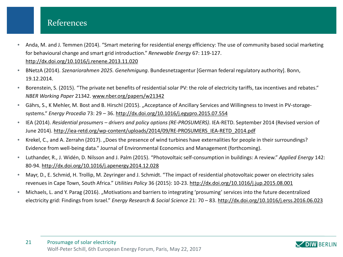## References

- Anda, M. and J. Temmen (2014). "Smart metering for residential energy efficiency: The use of community based social marketing for behavioural change and smart grid introduction." *Renewable Energy* 67: 119-127. <http://dx.doi.org/10.1016/j.renene.2013.11.020>
- BNetzA (2014). *Szenariorahmen 2025. Genehmigung*. Bundesnetzagentur [German federal regulatory authority]. Bonn, 19.12.2014.
- Borenstein, S. (2015). "The private net benefits of residential solar PV: the role of electricity tariffs, tax incentives and rebates." *NBER Working Paper* 21342. [www.nber.org/papers/w21342](http://www.nber.org/papers/w21342)
- Gährs, S., K Mehler, M. Bost and B. Hirschl (2015). "Acceptance of Ancillary Services and Willingness to Invest in PV-storagesystems." *Energy Procedia* 73: 29 – 36.<http://dx.doi.org/10.1016/j.egypro.2015.07.554>
- IEA (2014). *Residential prosumers – drivers and policy options (RE-PROSUMERS)*. IEA-RETD. September 2014 (Revised version of June 2014). [http://iea-retd.org/wp-content/uploads/2014/09/RE-PROSUMERS\\_IEA-RETD\\_2014.pdf](http://iea-retd.org/wp-content/uploads/2014/09/RE-PROSUMERS_IEA-RETD_2014.pdf)
- Krekel, C., and A. Zerrahn (2017). "Does the presence of wind turbines have externalities for people in their surroundings? Evidence from well-being data." Journal of Environmental Economics and Management (forthcoming).
- Luthander, R., J. Widén, D. Nilsson and J. Palm (2015). "Photovoltaic self-consumption in buildings: A review." *Applied Energy* 142: 80-94. <http://dx.doi.org/10.1016/j.apenergy.2014.12.028>
- Mayr, D., E. Schmid, H. Trollip, M. Zeyringer and J. Schmidt. "The impact of residential photovoltaic power on electricity sales revenues in Cape Town, South Africa." *Utilities Policy* 36 (2015): 10-23.<http://dx.doi.org/10.1016/j.jup.2015.08.001>
- Michaels, L. and Y. Parag (2016). "Motivations and barriers to integrating 'prosuming' services into the future decentralized electricity grid: Findings from Israel." *Energy Research & Social Science* 21: 70 – 83.<http://dx.doi.org/10.1016/j.erss.2016.06.023>